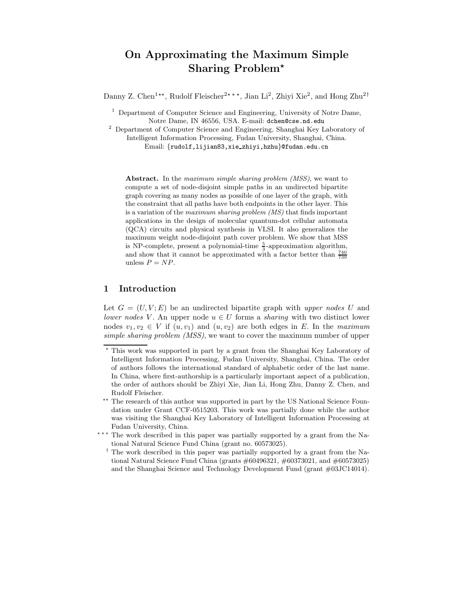# On Approximating the Maximum Simple Sharing Problem<sup>\*</sup>

Danny Z. Chen<sup>1\*\*</sup>, Rudolf Fleischer<sup>2\*\*\*</sup>, Jian Li<sup>2</sup>, Zhiyi Xie<sup>2</sup>, and Hong Zhu<sup>2†</sup>

<sup>1</sup> Department of Computer Science and Engineering, University of Notre Dame, Notre Dame, IN 46556, USA. E-mail: dchen@cse.nd.edu

<sup>2</sup> Department of Computer Science and Engineering, Shanghai Key Laboratory of Intelligent Information Processing, Fudan University, Shanghai, China. Email: {rudolf,lijian83,xie zhiyi,hzhu}@fudan.edu.cn

Abstract. In the maximum simple sharing problem (MSS), we want to compute a set of node-disjoint simple paths in an undirected bipartite graph covering as many nodes as possible of one layer of the graph, with the constraint that all paths have both endpoints in the other layer. This is a variation of the maximum sharing problem (MS) that finds important applications in the design of molecular quantum-dot cellular automata (QCA) circuits and physical synthesis in VLSI. It also generalizes the maximum weight node-disjoint path cover problem. We show that MSS is NP-complete, present a polynomial-time  $\frac{5}{3}$ -approximation algorithm, and show that it cannot be approximated with a factor better than  $\frac{740}{739}$ unless  $P = NP$ .

# 1 Introduction

Let  $G = (U, V; E)$  be an undirected bipartite graph with upper nodes U and lower nodes V. An upper node  $u \in U$  forms a sharing with two distinct lower nodes  $v_1, v_2 \in V$  if  $(u, v_1)$  and  $(u, v_2)$  are both edges in E. In the maximum simple sharing problem (MSS), we want to cover the maximum number of upper

<sup>⋆</sup> This work was supported in part by a grant from the Shanghai Key Laboratory of Intelligent Information Processing, Fudan University, Shanghai, China. The order of authors follows the international standard of alphabetic order of the last name. In China, where first-authorship is a particularly important aspect of a publication, the order of authors should be Zhiyi Xie, Jian Li, Hong Zhu, Danny Z. Chen, and Rudolf Fleischer.

<sup>\*\*</sup> The research of this author was supported in part by the US National Science Foundation under Grant CCF-0515203. This work was partially done while the author was visiting the Shanghai Key Laboratory of Intelligent Information Processing at Fudan University, China.

The work described in this paper was partially supported by a grant from the National Natural Science Fund China (grant no. 60573025).

<sup>†</sup> The work described in this paper was partially supported by a grant from the National Natural Science Fund China (grants #60496321, #60373021, and #60573025) and the Shanghai Science and Technology Development Fund (grant #03JC14014).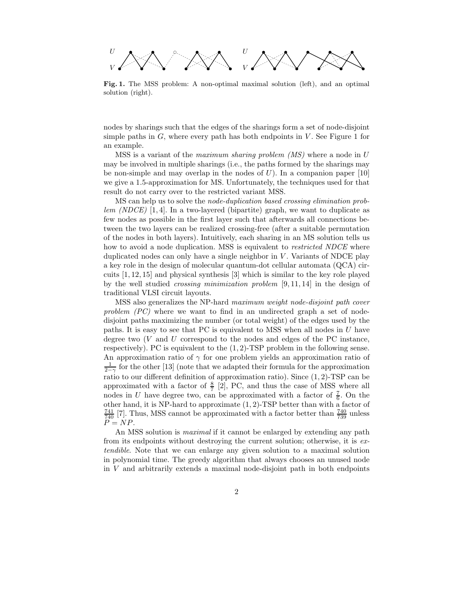

Fig. 1. The MSS problem: A non-optimal maximal solution (left), and an optimal solution (right).

nodes by sharings such that the edges of the sharings form a set of node-disjoint simple paths in  $G$ , where every path has both endpoints in  $V$ . See Figure 1 for an example.

MSS is a variant of the maximum sharing problem (MS) where a node in U may be involved in multiple sharings (i.e., the paths formed by the sharings may be non-simple and may overlap in the nodes of  $U$ ). In a companion paper [10] we give a 1.5-approximation for MS. Unfortunately, the techniques used for that result do not carry over to the restricted variant MSS.

MS can help us to solve the node-duplication based crossing elimination problem (NDCE) [1, 4]. In a two-layered (bipartite) graph, we want to duplicate as few nodes as possible in the first layer such that afterwards all connections between the two layers can be realized crossing-free (after a suitable permutation of the nodes in both layers). Intuitively, each sharing in an MS solution tells us how to avoid a node duplication. MSS is equivalent to *restricted NDCE* where duplicated nodes can only have a single neighbor in  $V$ . Variants of NDCE play a key role in the design of molecular quantum-dot cellular automata (QCA) circuits [1, 12, 15] and physical synthesis [3] which is similar to the key role played by the well studied crossing minimization problem [9, 11, 14] in the design of traditional VLSI circuit layouts.

MSS also generalizes the NP-hard maximum weight node-disjoint path cover problem (PC) where we want to find in an undirected graph a set of nodedisjoint paths maximizing the number (or total weight) of the edges used by the paths. It is easy to see that PC is equivalent to MSS when all nodes in  $U$  have degree two  $(V \text{ and } U \text{ correspond to the nodes and edges of the PC instance},$ respectively). PC is equivalent to the  $(1, 2)$ -TSP problem in the following sense. An approximation ratio of  $\gamma$  for one problem yields an approximation ratio of  $\frac{1}{2-\gamma}$  for the other [13] (note that we adapted their formula for the approximation ratio to our different definition of approximation ratio). Since (1, 2)-TSP can be approximated with a factor of  $\frac{8}{7}$  [2], PC, and thus the case of MSS where all nodes in U have degree two, can be approximated with a factor of  $\frac{7}{6}$ . On the other hand, it is NP-hard to approximate (1, 2)-TSP better than with a factor of  $\frac{741}{740}$  [7]. Thus, MSS cannot be approximated with a factor better than  $\frac{740}{739}$  unless  $P = NP$ .

An MSS solution is *maximal* if it cannot be enlarged by extending any path from its endpoints without destroying the current solution; otherwise, it is extendible. Note that we can enlarge any given solution to a maximal solution in polynomial time. The greedy algorithm that always chooses an unused node in  $V$  and arbitrarily extends a maximal node-disjoint path in both endpoints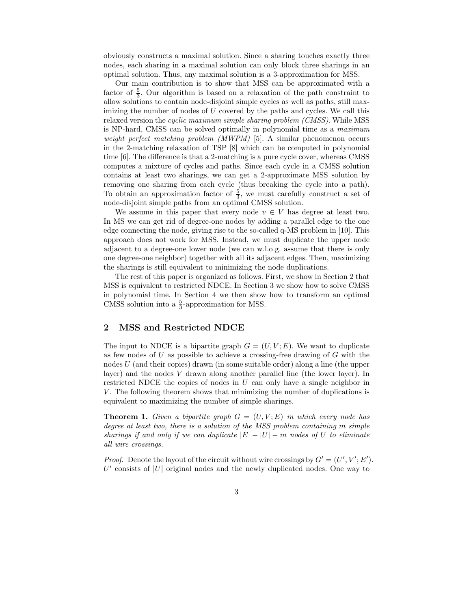obviously constructs a maximal solution. Since a sharing touches exactly three nodes, each sharing in a maximal solution can only block three sharings in an optimal solution. Thus, any maximal solution is a 3-approximation for MSS.

Our main contribution is to show that MSS can be approximated with a factor of  $\frac{5}{3}$ . Our algorithm is based on a relaxation of the path constraint to allow solutions to contain node-disjoint simple cycles as well as paths, still maximizing the number of nodes of U covered by the paths and cycles. We call this relaxed version the cyclic maximum simple sharing problem (CMSS). While MSS is NP-hard, CMSS can be solved optimally in polynomial time as a maximum weight perfect matching problem (MWPM) [5]. A similar phenomenon occurs in the 2-matching relaxation of TSP [8] which can be computed in polynomial time [6]. The difference is that a 2-matching is a pure cycle cover, whereas CMSS computes a mixture of cycles and paths. Since each cycle in a CMSS solution contains at least two sharings, we can get a 2-approximate MSS solution by removing one sharing from each cycle (thus breaking the cycle into a path). To obtain an approximation factor of  $\frac{5}{3}$ , we must carefully construct a set of node-disjoint simple paths from an optimal CMSS solution.

We assume in this paper that every node  $v \in V$  has degree at least two. In MS we can get rid of degree-one nodes by adding a parallel edge to the one edge connecting the node, giving rise to the so-called q-MS problem in [10]. This approach does not work for MSS. Instead, we must duplicate the upper node adjacent to a degree-one lower node (we can w.l.o.g. assume that there is only one degree-one neighbor) together with all its adjacent edges. Then, maximizing the sharings is still equivalent to minimizing the node duplications.

The rest of this paper is organized as follows. First, we show in Section 2 that MSS is equivalent to restricted NDCE. In Section 3 we show how to solve CMSS in polynomial time. In Section 4 we then show how to transform an optimal CMSS solution into a  $\frac{5}{3}$ -approximation for MSS.

#### 2 MSS and Restricted NDCE

The input to NDCE is a bipartite graph  $G = (U, V; E)$ . We want to duplicate as few nodes of  $U$  as possible to achieve a crossing-free drawing of  $G$  with the nodes U (and their copies) drawn (in some suitable order) along a line (the upper layer) and the nodes V drawn along another parallel line (the lower layer). In restricted NDCE the copies of nodes in  $U$  can only have a single neighbor in V . The following theorem shows that minimizing the number of duplications is equivalent to maximizing the number of simple sharings.

**Theorem 1.** Given a bipartite graph  $G = (U, V; E)$  in which every node has degree at least two, there is a solution of the MSS problem containing m simple sharings if and only if we can duplicate  $|E| - |U| - m$  nodes of U to eliminate all wire crossings.

*Proof.* Denote the layout of the circuit without wire crossings by  $G' = (U', V'; E').$  $U'$  consists of  $|U|$  original nodes and the newly duplicated nodes. One way to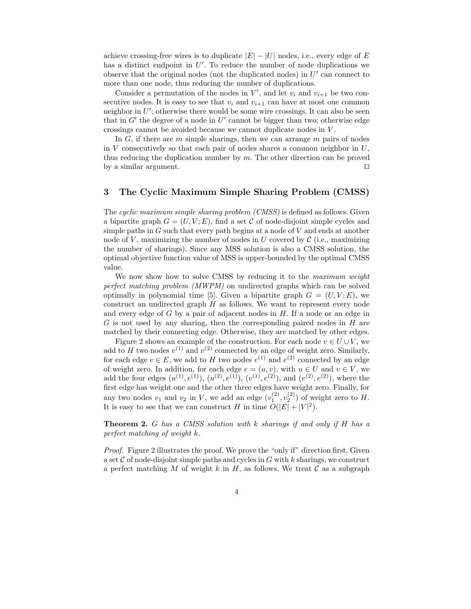achieve crossing-free wires is to duplicate  $|E| - |U|$  nodes, i.e., every edge of E has a distinct endpoint in  $U'$ . To reduce the number of node duplications we observe that the original nodes (not the duplicated nodes) in  $U'$  can connect to more than one node, thus reducing the number of duplications.

Consider a permutation of the nodes in  $V'$ , and let  $v_i$  and  $v_{i+1}$  be two consecutive nodes. It is easy to see that  $v_i$  and  $v_{i+1}$  can have at most one common neighbor in U'; otherwise there would be some wire crossings. It can also be seen that in  $G'$  the degree of a node in  $U'$  cannot be bigger than two; otherwise edge crossings cannot be avoided because we cannot duplicate nodes in V .

In  $G$ , if there are  $m$  simple sharings, then we can arrange  $m$  pairs of nodes in  $V$  consecutively so that each pair of nodes shares a common neighbor in  $U$ , thus reducing the duplication number by  $m$ . The other direction can be proved by a similar argument. ⊓⊔

# 3 The Cyclic Maximum Simple Sharing Problem (CMSS)

The cyclic maximum simple sharing problem (CMSS) is defined as follows. Given a bipartite graph  $G = (U, V; E)$ , find a set C of node-disjoint simple cycles and simple paths in  $G$  such that every path begins at a node of  $V$  and ends at another node of  $V$ , maximizing the number of nodes in  $U$  covered by  $\mathcal C$  (i.e., maximizing the number of sharings). Since any MSS solution is also a CMSS solution, the optimal objective function value of MSS is upper-bounded by the optimal CMSS value.

We now show how to solve CMSS by reducing it to the maximum weight perfect matching problem (MWPM) on undirected graphs which can be solved optimally in polynomial time [5]. Given a bipartite graph  $G = (U, V; E)$ , we construct an undirected graph  $H$  as follows. We want to represent every node and every edge of  $G$  by a pair of adjacent nodes in  $H$ . If a node or an edge in  $G$  is not used by any sharing, then the corresponding paired nodes in  $H$  are matched by their connecting edge. Otherwise, they are matched by other edges.

Figure 2 shows an example of the construction. For each node  $v \in U \cup V$ , we add to H two nodes  $v^{(1)}$  and  $v^{(2)}$  connected by an edge of weight zero. Similarly, for each edge  $e \in E$ , we add to H two nodes  $e^{(1)}$  and  $e^{(2)}$  connected by an edge of weight zero. In addition, for each edge  $e = (u, v)$ , with  $u \in U$  and  $v \in V$ , we add the four edges  $(u^{(1)}, e^{(1)}), (u^{(2)}, e^{(1)}), (v^{(1)}, e^{(2)}),$  and  $(v^{(2)}, e^{(2)}),$  where the first edge has weight one and the other three edges have weight zero. Finally, for any two nodes  $v_1$  and  $v_2$  in V, we add an edge  $(v_1^{(2)}, v_2^{(2)})$  of weight zero to H. It is easy to see that we can construct H in time  $O(|E|+|V|^2)$ .

Theorem 2. G has a CMSS solution with k sharings if and only if H has a perfect matching of weight k.

Proof. Figure 2 illustrates the proof. We prove the "only if" direction first. Given a set  $\mathcal C$  of node-disjoint simple paths and cycles in  $G$  with k sharings, we construct a perfect matching M of weight k in H, as follows. We treat C as a subgraph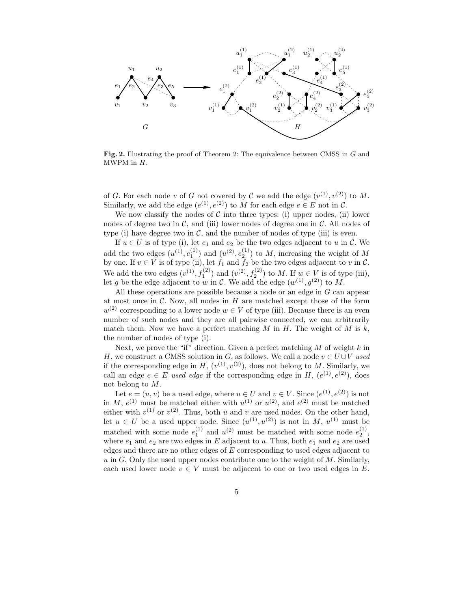

Fig. 2. Illustrating the proof of Theorem 2: The equivalence between CMSS in G and MWPM in H.

of G. For each node v of G not covered by C we add the edge  $(v^{(1)}, v^{(2)})$  to M. Similarly, we add the edge  $(e^{(1)}, e^{(2)})$  to M for each edge  $e \in E$  not in C.

We now classify the nodes of  $C$  into three types: (i) upper nodes, (ii) lower nodes of degree two in  $C$ , and (iii) lower nodes of degree one in  $C$ . All nodes of type (i) have degree two in  $\mathcal{C}$ , and the number of nodes of type (iii) is even.

If  $u \in U$  is of type (i), let  $e_1$  and  $e_2$  be the two edges adjacent to u in C. We add the two edges  $(u^{(1)}, e_1^{(1)})$  and  $(u^{(2)}, e_2^{(1)})$  to M, increasing the weight of M by one. If  $v \in V$  is of type (ii), let  $f_1$  and  $f_2$  be the two edges adjacent to v in C. We add the two edges  $(v^{(1)}, f_1^{(2)})$  and  $(v^{(2)}, f_2^{(2)})$  to M. If  $w \in V$  is of type (iii), let g be the edge adjacent to w in C. We add the edge  $(w^{(1)}, g^{(2)})$  to M.

All these operations are possible because a node or an edge in G can appear at most once in  $\mathcal C$ . Now, all nodes in  $H$  are matched except those of the form  $w^{(2)}$  corresponding to a lower node  $w \in V$  of type (iii). Because there is an even number of such nodes and they are all pairwise connected, we can arbitrarily match them. Now we have a perfect matching M in H. The weight of M is k, the number of nodes of type (i).

Next, we prove the "if" direction. Given a perfect matching  $M$  of weight  $k$  in H, we construct a CMSS solution in G, as follows. We call a node  $v \in U \cup V$  used if the corresponding edge in  $H$ ,  $(v^{(1)}, v^{(2)})$ , does not belong to M. Similarly, we call an edge  $e \in E$  used edge if the corresponding edge in H,  $(e^{(1)}, e^{(2)})$ , does not belong to M.

Let  $e = (u, v)$  be a used edge, where  $u \in U$  and  $v \in V$ . Since  $(e^{(1)}, e^{(2)})$  is not in M,  $e^{(1)}$  must be matched either with  $u^{(1)}$  or  $u^{(2)}$ , and  $e^{(2)}$  must be matched either with  $v^{(1)}$  or  $v^{(2)}$ . Thus, both u and v are used nodes. On the other hand, let  $u \in U$  be a used upper node. Since  $(u^{(1)}, u^{(2)})$  is not in M,  $u^{(1)}$  must be matched with some node  $e_1^{(1)}$  and  $u^{(2)}$  must be matched with some node  $e_2^{(1)}$ , where  $e_1$  and  $e_2$  are two edges in E adjacent to u. Thus, both  $e_1$  and  $e_2$  are used edges and there are no other edges of  $E$  corresponding to used edges adjacent to  $u$  in  $G$ . Only the used upper nodes contribute one to the weight of  $M$ . Similarly, each used lower node  $v \in V$  must be adjacent to one or two used edges in E.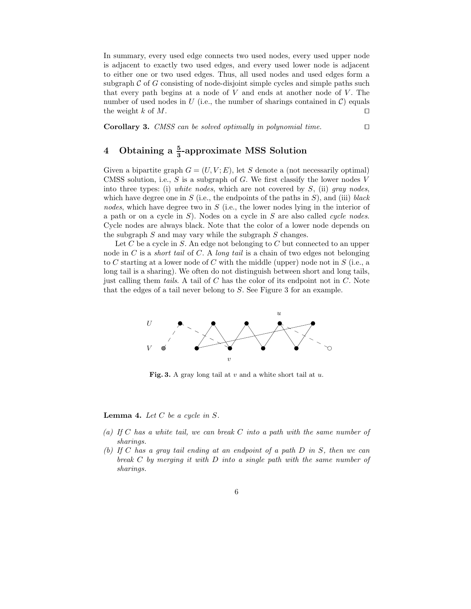In summary, every used edge connects two used nodes, every used upper node is adjacent to exactly two used edges, and every used lower node is adjacent to either one or two used edges. Thus, all used nodes and used edges form a subgraph  $\mathcal C$  of  $G$  consisting of node-disjoint simple cycles and simple paths such that every path begins at a node of  $V$  and ends at another node of  $V$ . The number of used nodes in  $U$  (i.e., the number of sharings contained in  $\mathcal{C}$ ) equals the weight k of M. □

Corollary 3. CMSS can be solved optimally in polynomial time. □

# 4 Obtaining a  $\frac{5}{3}$ -approximate MSS Solution

Given a bipartite graph  $G = (U, V; E)$ , let S denote a (not necessarily optimal) CMSS solution, i.e.,  $S$  is a subgraph of  $G$ . We first classify the lower nodes  $V$ into three types: (i) white nodes, which are not covered by  $S$ , (ii) gray nodes, which have degree one in  $S$  (i.e., the endpoints of the paths in  $S$ ), and (iii) black nodes, which have degree two in S (i.e., the lower nodes lying in the interior of a path or on a cycle in  $S$ ). Nodes on a cycle in  $S$  are also called *cycle nodes*. Cycle nodes are always black. Note that the color of a lower node depends on the subgraph  $S$  and may vary while the subgraph  $S$  changes.

Let  $C$  be a cycle in  $S$ . An edge not belonging to  $C$  but connected to an upper node in  $C$  is a *short tail* of  $C$ . A *long tail* is a chain of two edges not belonging to C starting at a lower node of C with the middle (upper) node not in  $S$  (i.e., a long tail is a sharing). We often do not distinguish between short and long tails, just calling them tails. A tail of  $C$  has the color of its endpoint not in  $C$ . Note that the edges of a tail never belong to S. See Figure 3 for an example.



Fig. 3. A gray long tail at  $v$  and a white short tail at  $u$ .

**Lemma 4.** Let  $C$  be a cycle in  $S$ .

- (a) If C has a white tail, we can break C into a path with the same number of sharings.
- (b) If C has a gray tail ending at an endpoint of a path D in S, then we can break  $C$  by merging it with  $D$  into a single path with the same number of sharings.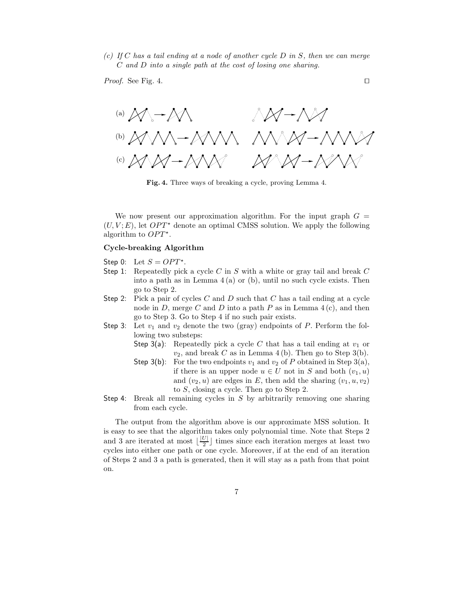$(c)$  If C has a tail ending at a node of another cycle D in S, then we can merge C and D into a single path at the cost of losing one sharing.

*Proof.* See Fig. 4. □



Fig. 4. Three ways of breaking a cycle, proving Lemma 4.

We now present our approximation algorithm. For the input graph  $G =$  $(U, V; E)$ , let  $OPT^*$  denote an optimal CMSS solution. We apply the following algorithm to  $OPT^*$ .

#### Cycle-breaking Algorithm

- Step 0: Let  $S = OPT^*$ .
- Step 1: Repeatedly pick a cycle  $C$  in  $S$  with a white or gray tail and break  $C$ into a path as in Lemma 4 (a) or (b), until no such cycle exists. Then go to Step 2.
- Step 2: Pick a pair of cycles  $C$  and  $D$  such that  $C$  has a tail ending at a cycle node in D, merge C and D into a path P as in Lemma  $4(c)$ , and then go to Step 3. Go to Step 4 if no such pair exists.
- Step 3: Let  $v_1$  and  $v_2$  denote the two (gray) endpoints of P. Perform the following two substeps:
	- Step 3(a): Repeatedly pick a cycle C that has a tail ending at  $v_1$  or  $v_2$ , and break C as in Lemma 4(b). Then go to Step 3(b).
	- Step 3(b): For the two endpoints  $v_1$  and  $v_2$  of P obtained in Step 3(a), if there is an upper node  $u \in U$  not in S and both  $(v_1, u)$ and  $(v_2, u)$  are edges in E, then add the sharing  $(v_1, u, v_2)$ to S, closing a cycle. Then go to Step 2.
- Step 4: Break all remaining cycles in  $S$  by arbitrarily removing one sharing from each cycle.

The output from the algorithm above is our approximate MSS solution. It is easy to see that the algorithm takes only polynomial time. Note that Steps 2 and 3 are iterated at most  $\lfloor \frac{|U|}{2} \rfloor$  $\frac{U}{2}$  times since each iteration merges at least two cycles into either one path or one cycle. Moreover, if at the end of an iteration of Steps 2 and 3 a path is generated, then it will stay as a path from that point on.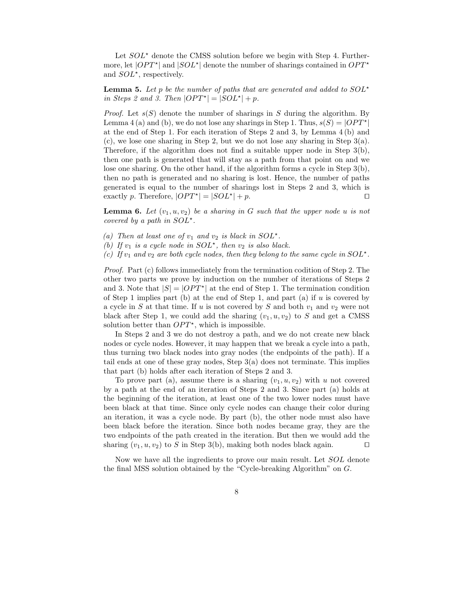Let  $SOL^{\star}$  denote the CMSS solution before we begin with Step 4. Furthermore, let  $|OPT^{\star}|$  and  $|SOL^{\star}|$  denote the number of sharings contained in  $OPT^{\star}$ and  $SOL^*$ , respectively.

**Lemma 5.** Let p be the number of paths that are generated and added to  $SOL^*$ in Steps 2 and 3. Then  $|OPT^*| = |SOL^*| + p$ .

*Proof.* Let  $s(S)$  denote the number of sharings in S during the algorithm. By Lemma 4 (a) and (b), we do not lose any sharings in Step 1. Thus,  $s(S) = |OPT^{\star}|$ at the end of Step 1. For each iteration of Steps 2 and 3, by Lemma 4 (b) and  $(c)$ , we lose one sharing in Step 2, but we do not lose any sharing in Step  $3(a)$ . Therefore, if the algorithm does not find a suitable upper node in Step 3(b), then one path is generated that will stay as a path from that point on and we lose one sharing. On the other hand, if the algorithm forms a cycle in Step 3(b), then no path is generated and no sharing is lost. Hence, the number of paths generated is equal to the number of sharings lost in Steps 2 and 3, which is exactly p. Therefore,  $|OPT^*| = |SOL^*| + p$ .

**Lemma 6.** Let  $(v_1, u, v_2)$  be a sharing in G such that the upper node u is not covered by a path in  $SOL^{\star}$ .

- (a) Then at least one of  $v_1$  and  $v_2$  is black in  $SOL^{\star}$ .
- (b) If  $v_1$  is a cycle node in  $SOL^{\star}$ , then  $v_2$  is also black.
- (c) If  $v_1$  and  $v_2$  are both cycle nodes, then they belong to the same cycle in  $SOL^{\star}$ .

Proof. Part (c) follows immediately from the termination codition of Step 2. The other two parts we prove by induction on the number of iterations of Steps 2 and 3. Note that  $|S| = |OPT^*|$  at the end of Step 1. The termination condition of Step 1 implies part (b) at the end of Step 1, and part (a) if  $u$  is covered by a cycle in S at that time. If u is not covered by S and both  $v_1$  and  $v_2$  were not black after Step 1, we could add the sharing  $(v_1, u, v_2)$  to S and get a CMSS solution better than  $OPT^*$ , which is impossible.

In Steps 2 and 3 we do not destroy a path, and we do not create new black nodes or cycle nodes. However, it may happen that we break a cycle into a path, thus turning two black nodes into gray nodes (the endpoints of the path). If a tail ends at one of these gray nodes, Step  $3(a)$  does not terminate. This implies that part (b) holds after each iteration of Steps 2 and 3.

To prove part (a), assume there is a sharing  $(v_1, u, v_2)$  with u not covered by a path at the end of an iteration of Steps 2 and 3. Since part (a) holds at the beginning of the iteration, at least one of the two lower nodes must have been black at that time. Since only cycle nodes can change their color during an iteration, it was a cycle node. By part (b), the other node must also have been black before the iteration. Since both nodes became gray, they are the two endpoints of the path created in the iteration. But then we would add the sharing  $(v_1, u, v_2)$  to S in Step 3(b), making both nodes black again. □

Now we have all the ingredients to prove our main result. Let SOL denote the final MSS solution obtained by the "Cycle-breaking Algorithm" on G.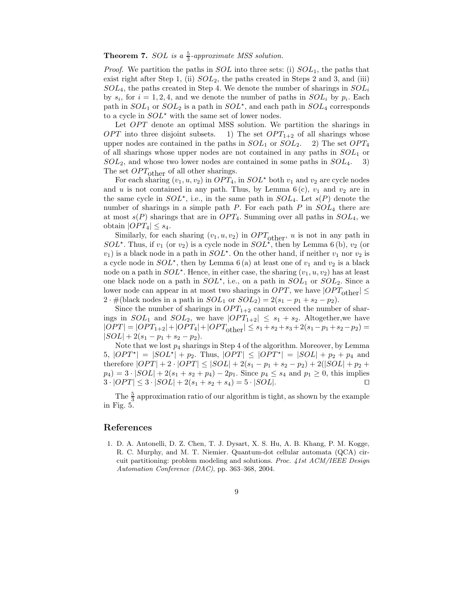# **Theorem 7.** SOL is a  $\frac{5}{3}$ -approximate MSS solution.

*Proof.* We partition the paths in  $SOL$  into three sets: (i)  $SOL<sub>1</sub>$ , the paths that exist right after Step 1, (ii)  $SOL<sub>2</sub>$ , the paths created in Steps 2 and 3, and (iii)  $SOL<sub>4</sub>$ , the paths created in Step 4. We denote the number of sharings in  $SOL<sub>i</sub>$ by  $s_i$ , for  $i = 1, 2, 4$ , and we denote the number of paths in  $SOL_i$  by  $p_i$ . Each path in  $SOL_1$  or  $SOL_2$  is a path in  $SOL^*$ , and each path in  $SOL_4$  corresponds to a cycle in  $SOL^*$  with the same set of lower nodes.

Let  $OPT$  denote an optimal MSS solution. We partition the sharings in OPT into three disjoint subsets. 1) The set  $OPT_{1+2}$  of all sharings whose upper nodes are contained in the paths in  $SOL_1$  or  $SOL_2$ . 2) The set  $OPT_4$ of all sharings whose upper nodes are not contained in any paths in  $SOL<sub>1</sub>$  or  $SOL<sub>2</sub>$ , and whose two lower nodes are contained in some paths in  $SOL<sub>4</sub>$ . 3) The set  $OPT_{\text{other}}$  of all other sharings.

For each sharing  $(v_1, u, v_2)$  in  $OPT_4$ , in  $SOL^*$  both  $v_1$  and  $v_2$  are cycle nodes and u is not contained in any path. Thus, by Lemma  $6(c)$ ,  $v_1$  and  $v_2$  are in the same cycle in  $SOL^*$ , i.e., in the same path in  $SOL_4$ . Let  $s(P)$  denote the number of sharings in a simple path  $P$ . For each path  $P$  in  $SOL<sub>4</sub>$  there are at most  $s(P)$  sharings that are in  $OPT_4$ . Summing over all paths in  $SOL_4$ , we obtain  $|OPT_4| \leq s_4$ .

Similarly, for each sharing  $(v_1, u, v_2)$  in  $OPT_{other}$ , u is not in any path in  $SOL^{\star}$ . Thus, if  $v_1$  (or  $v_2$ ) is a cycle node in  $SOL^{\star}$ , then by Lemma 6(b),  $v_2$  (or  $(v_1)$  is a black node in a path in  $SOL^{\star}$ . On the other hand, if neither  $v_1$  nor  $v_2$  is a cycle node in  $SOL^{\star}$ , then by Lemma 6(a) at least one of  $v_1$  and  $v_2$  is a black node on a path in  $SOL^{\star}$ . Hence, in either case, the sharing  $(v_1, u, v_2)$  has at least one black node on a path in  $SOL^*$ , i.e., on a path in  $SOL_1$  or  $SOL_2$ . Since a lower node can appear in at most two sharings in  $OPT$ , we have  $|OPT_{\text{other}}| \le$ 2 · #(black nodes in a path in  $SOL_1$  or  $SOL_2$ ) =  $2(s_1 - p_1 + s_2 - p_2)$ .

Since the number of sharings in  $OPT_{1+2}$  cannot exceed the number of sharings in  $SOL_1$  and  $SOL_2$ , we have  $|OPT_{1+2}| \leq s_1 + s_2$ . Altogether, we have  $|OPT| = |OPT_{1+2}| + |OPT_4| + |OPT_{other}| \leq s_1 + s_2 + s_3 + 2(s_1 - p_1 + s_2 - p_2) =$  $|SOL| + 2(s_1 - p_1 + s_2 - p_2).$ 

Note that we lost  $p_4$  sharings in Step 4 of the algorithm. Moreover, by Lemma  $5, |OPT^*| = |SOL^*| + p_2$ . Thus,  $|OPT| \le |OPT^*| = |SOL| + p_2 + p_4$  and therefore  $|OPT| + 2 \cdot |OPT| \leq |SOL| + 2(s_1 - p_1 + s_2 - p_2) + 2(|SOL| + p_2 +$  $p_4$ ) = 3 ·  $|SOL|$  + 2(s<sub>1</sub> + s<sub>2</sub> + p<sub>4</sub>) – 2p<sub>1</sub>. Since  $p_4 \le s_4$  and  $p_1 \ge 0$ , this implies  $3 \cdot |OPT| \leq 3 \cdot |SOL| + 2(s_1 + s_2 + s_4) = 5 \cdot |SOL|.$ 

The  $\frac{5}{3}$  approximation ratio of our algorithm is tight, as shown by the example in Fig. 5.

## References

1. D. A. Antonelli, D. Z. Chen, T. J. Dysart, X. S. Hu, A. B. Khang, P. M. Kogge, R. C. Murphy, and M. T. Niemier. Quantum-dot cellular automata (QCA) circuit partitioning: problem modeling and solutions. Proc. 41st ACM/IEEE Design Automation Conference (DAC), pp. 363–368, 2004.